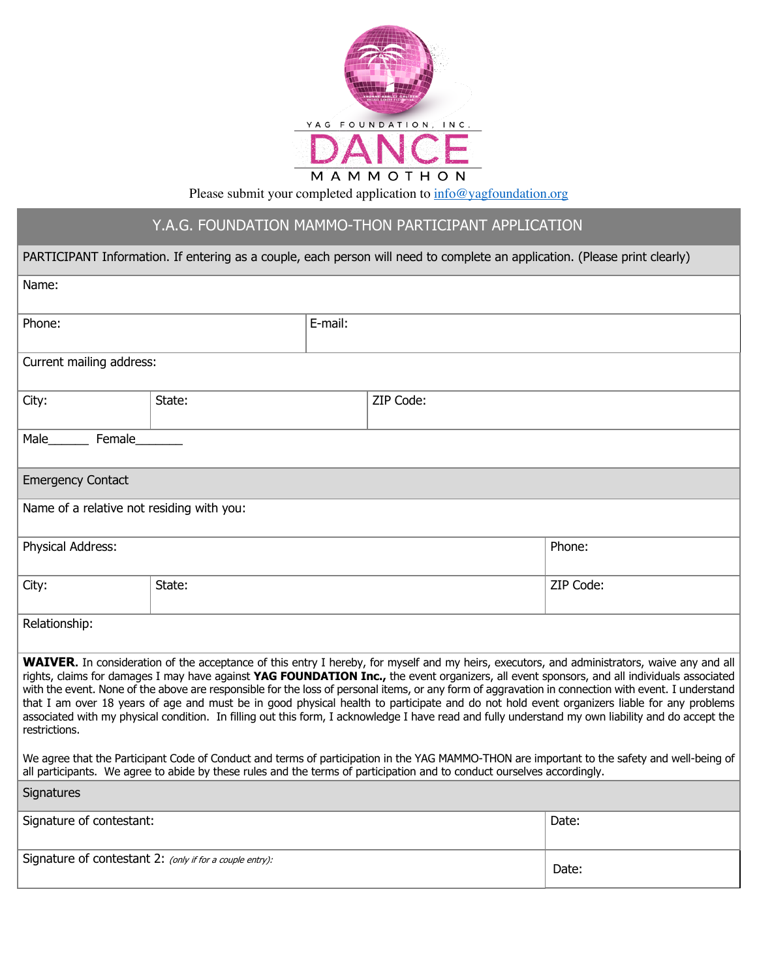

Please submit your completed application to  $info@yagfoundation.org$ 

## Y.A.G. FOUNDATION MAMMO-THON PARTICIPANT APPLICATION

| PARTICIPANT Information. If entering as a couple, each person will need to complete an application. (Please print clearly)                                                                                                                                                                                                                                                                                                                                                                                                                                                                                                                                                                                                                                                     |        |         |           |           |  |  |  |
|--------------------------------------------------------------------------------------------------------------------------------------------------------------------------------------------------------------------------------------------------------------------------------------------------------------------------------------------------------------------------------------------------------------------------------------------------------------------------------------------------------------------------------------------------------------------------------------------------------------------------------------------------------------------------------------------------------------------------------------------------------------------------------|--------|---------|-----------|-----------|--|--|--|
| Name:                                                                                                                                                                                                                                                                                                                                                                                                                                                                                                                                                                                                                                                                                                                                                                          |        |         |           |           |  |  |  |
| Phone:                                                                                                                                                                                                                                                                                                                                                                                                                                                                                                                                                                                                                                                                                                                                                                         |        | E-mail: |           |           |  |  |  |
| Current mailing address:                                                                                                                                                                                                                                                                                                                                                                                                                                                                                                                                                                                                                                                                                                                                                       |        |         |           |           |  |  |  |
| City:                                                                                                                                                                                                                                                                                                                                                                                                                                                                                                                                                                                                                                                                                                                                                                          | State: |         | ZIP Code: |           |  |  |  |
| Female<br>Male                                                                                                                                                                                                                                                                                                                                                                                                                                                                                                                                                                                                                                                                                                                                                                 |        |         |           |           |  |  |  |
| <b>Emergency Contact</b>                                                                                                                                                                                                                                                                                                                                                                                                                                                                                                                                                                                                                                                                                                                                                       |        |         |           |           |  |  |  |
| Name of a relative not residing with you:                                                                                                                                                                                                                                                                                                                                                                                                                                                                                                                                                                                                                                                                                                                                      |        |         |           |           |  |  |  |
| Physical Address:                                                                                                                                                                                                                                                                                                                                                                                                                                                                                                                                                                                                                                                                                                                                                              |        |         |           | Phone:    |  |  |  |
| City:                                                                                                                                                                                                                                                                                                                                                                                                                                                                                                                                                                                                                                                                                                                                                                          | State: |         |           | ZIP Code: |  |  |  |
| Relationship:                                                                                                                                                                                                                                                                                                                                                                                                                                                                                                                                                                                                                                                                                                                                                                  |        |         |           |           |  |  |  |
| <b>WAIVER.</b> In consideration of the acceptance of this entry I hereby, for myself and my heirs, executors, and administrators, waive any and all<br>rights, claims for damages I may have against YAG FOUNDATION Inc., the event organizers, all event sponsors, and all individuals associated<br>with the event. None of the above are responsible for the loss of personal items, or any form of aggravation in connection with event. I understand<br>that I am over 18 years of age and must be in good physical health to participate and do not hold event organizers liable for any problems<br>associated with my physical condition. In filling out this form, I acknowledge I have read and fully understand my own liability and do accept the<br>restrictions. |        |         |           |           |  |  |  |
| We agree that the Participant Code of Conduct and terms of participation in the YAG MAMMO-THON are important to the safety and well-being of<br>all participants. We agree to abide by these rules and the terms of participation and to conduct ourselves accordingly.                                                                                                                                                                                                                                                                                                                                                                                                                                                                                                        |        |         |           |           |  |  |  |
| Signatures                                                                                                                                                                                                                                                                                                                                                                                                                                                                                                                                                                                                                                                                                                                                                                     |        |         |           |           |  |  |  |
| Signature of contestant:                                                                                                                                                                                                                                                                                                                                                                                                                                                                                                                                                                                                                                                                                                                                                       |        |         |           | Date:     |  |  |  |
| Signature of contestant 2: (only if for a couple entry):                                                                                                                                                                                                                                                                                                                                                                                                                                                                                                                                                                                                                                                                                                                       |        |         | Date:     |           |  |  |  |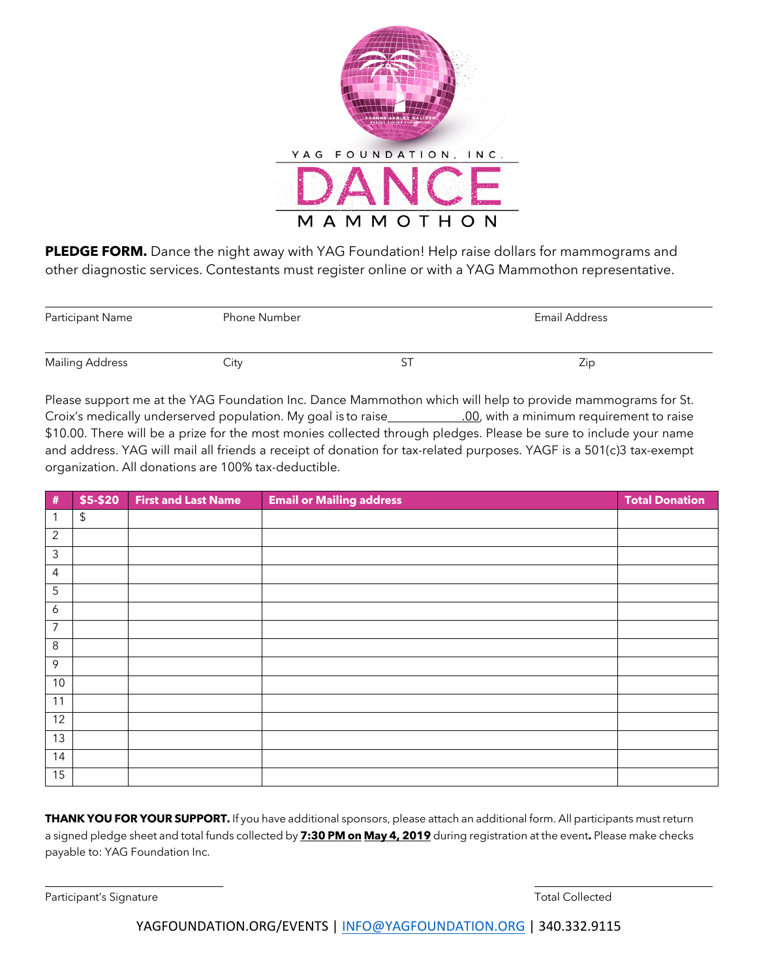

**PLEDGE FORM.** Dance the night away with YAG Foundation! Help raise dollars for mammograms and other diagnostic services. Contestants must register online or with a YAG Mammothon representative.

| Participant Name       | <b>Phone Number</b> | Email Address |     |
|------------------------|---------------------|---------------|-----|
|                        |                     |               |     |
| <b>Mailing Address</b> | City                | ັ             | Zip |

Please support me at the YAG Foundation Inc. Dance Mammothon which will help to provide mammograms for St. Croix's medically underserved population. My goal is to raise .00, with a minimum requirement to raise \$10.00. There will be a prize for the most monies collected through pledges. Please be sure to include your name and address. YAG will mail all friends a receipt of donation for tax-related purposes. YAGF is a 501(c)3 tax-exempt organization. All donations are 100% tax-deductible.

| $\#$           | \$5-\$20     | <b>First and Last Name</b> | <b>Email or Mailing address</b> | <b>Total Donation</b> |
|----------------|--------------|----------------------------|---------------------------------|-----------------------|
| 1              | $\mathbb{S}$ |                            |                                 |                       |
| $\overline{2}$ |              |                            |                                 |                       |
| $\mathfrak{Z}$ |              |                            |                                 |                       |
| 4              |              |                            |                                 |                       |
| 5              |              |                            |                                 |                       |
| 6              |              |                            |                                 |                       |
| 7              |              |                            |                                 |                       |
| 8              |              |                            |                                 |                       |
| $\mathcal{P}$  |              |                            |                                 |                       |
| 10             |              |                            |                                 |                       |
| 11             |              |                            |                                 |                       |
| 12             |              |                            |                                 |                       |
| 13             |              |                            |                                 |                       |
| 14             |              |                            |                                 |                       |
| 15             |              |                            |                                 |                       |

**THANK YOU FOR YOUR SUPPORT.** If you have additional sponsors, please attach an additional form. All participants must return a signed pledge sheet and total funds collected by **7:30 PM on May 4, 2019** during registration at the event**.** Please make checks payable to: YAG Foundation Inc.

Participant's Signature Total Collected